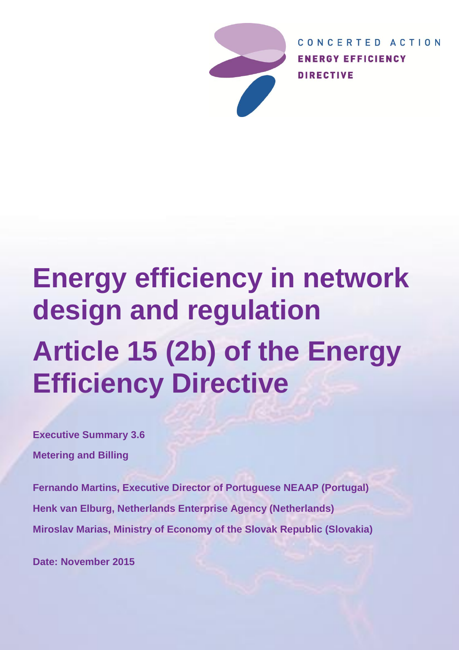

CONCERTED ACTION **ENERGY EFFICIENCY DIRECTIVE** 

# **Energy efficiency in network design and regulation Article 15 (2b) of the Energy Efficiency Directive**

**Executive Summary 3.6 Metering and Billing**

**Fernando Martins, Executive Director of Portuguese NEAAP (Portugal) Henk van Elburg, Netherlands Enterprise Agency (Netherlands) Miroslav Marias, Ministry of Economy of the Slovak Republic (Slovakia)**

**Date: November 2015**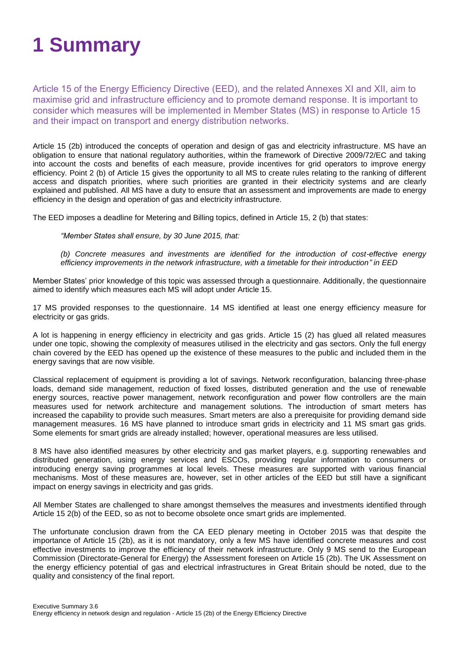# **1 Summary**

Article 15 of the Energy Efficiency Directive (EED), and the related Annexes XI and XII, aim to maximise grid and infrastructure efficiency and to promote demand response. It is important to consider which measures will be implemented in Member States (MS) in response to Article 15 and their impact on transport and energy distribution networks.

Article 15 (2b) introduced the concepts of operation and design of gas and electricity infrastructure. MS have an obligation to ensure that national regulatory authorities, within the framework of Directive 2009/72/EC and taking into account the costs and benefits of each measure, provide incentives for grid operators to improve energy efficiency. Point 2 (b) of Article 15 gives the opportunity to all MS to create rules relating to the ranking of different access and dispatch priorities, where such priorities are granted in their electricity systems and are clearly explained and published. All MS have a duty to ensure that an assessment and improvements are made to energy efficiency in the design and operation of gas and electricity infrastructure.

The EED imposes a deadline for Metering and Billing topics, defined in Article 15, 2 (b) that states:

*"Member States shall ensure, by 30 June 2015, that:* 

*(b) Concrete measures and investments are identified for the introduction of cost-effective energy efficiency improvements in the network infrastructure, with a timetable for their introduction" in EED*

Member States' prior knowledge of this topic was assessed through a questionnaire. Additionally, the questionnaire aimed to identify which measures each MS will adopt under Article 15.

17 MS provided responses to the questionnaire. 14 MS identified at least one energy efficiency measure for electricity or gas grids.

A lot is happening in energy efficiency in electricity and gas grids. Article 15 (2) has glued all related measures under one topic, showing the complexity of measures utilised in the electricity and gas sectors. Only the full energy chain covered by the EED has opened up the existence of these measures to the public and included them in the energy savings that are now visible.

Classical replacement of equipment is providing a lot of savings. Network reconfiguration, balancing three-phase loads, demand side management, reduction of fixed losses, distributed generation and the use of renewable energy sources, reactive power management, network reconfiguration and power flow controllers are the main measures used for network architecture and management solutions. The introduction of smart meters has increased the capability to provide such measures. Smart meters are also a prerequisite for providing demand side management measures. 16 MS have planned to introduce smart grids in electricity and 11 MS smart gas grids. Some elements for smart grids are already installed; however, operational measures are less utilised.

8 MS have also identified measures by other electricity and gas market players, e.g. supporting renewables and distributed generation, using energy services and ESCOs, providing regular information to consumers or introducing energy saving programmes at local levels. These measures are supported with various financial mechanisms. Most of these measures are, however, set in other articles of the EED but still have a significant impact on energy savings in electricity and gas grids.

All Member States are challenged to share amongst themselves the measures and investments identified through Article 15 2(b) of the EED, so as not to become obsolete once smart grids are implemented.

The unfortunate conclusion drawn from the CA EED plenary meeting in October 2015 was that despite the importance of Article 15 (2b), as it is not mandatory, only a few MS have identified concrete measures and cost effective investments to improve the efficiency of their network infrastructure. Only 9 MS send to the European Commission (Directorate-General for Energy) the Assessment foreseen on Article 15 (2b). The UK Assessment on the energy efficiency potential of gas and electrical infrastructures in Great Britain should be noted, due to the quality and consistency of the final report.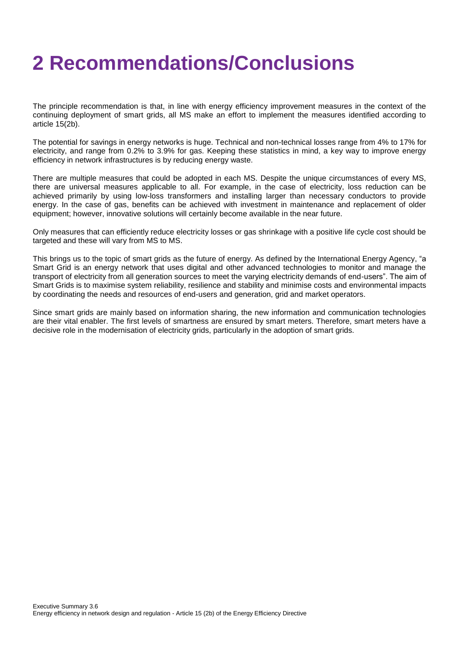### **2 Recommendations/Conclusions**

The principle recommendation is that, in line with energy efficiency improvement measures in the context of the continuing deployment of smart grids, all MS make an effort to implement the measures identified according to article 15(2b).

The potential for savings in energy networks is huge. Technical and non-technical losses range from 4% to 17% for electricity, and range from 0.2% to 3.9% for gas. Keeping these statistics in mind, a key way to improve energy efficiency in network infrastructures is by reducing energy waste.

There are multiple measures that could be adopted in each MS. Despite the unique circumstances of every MS, there are universal measures applicable to all. For example, in the case of electricity, loss reduction can be achieved primarily by using low-loss transformers and installing larger than necessary conductors to provide energy. In the case of gas, benefits can be achieved with investment in maintenance and replacement of older equipment; however, innovative solutions will certainly become available in the near future.

Only measures that can efficiently reduce electricity losses or gas shrinkage with a positive life cycle cost should be targeted and these will vary from MS to MS.

This brings us to the topic of smart grids as the future of energy. As defined by the International Energy Agency, "a Smart Grid is an energy network that uses digital and other advanced technologies to monitor and manage the transport of electricity from all generation sources to meet the varying electricity demands of end-users". The aim of Smart Grids is to maximise system reliability, resilience and stability and minimise costs and environmental impacts by coordinating the needs and resources of end-users and generation, grid and market operators.

Since smart grids are mainly based on information sharing, the new information and communication technologies are their vital enabler. The first levels of smartness are ensured by smart meters. Therefore, smart meters have a decisive role in the modernisation of electricity grids, particularly in the adoption of smart grids.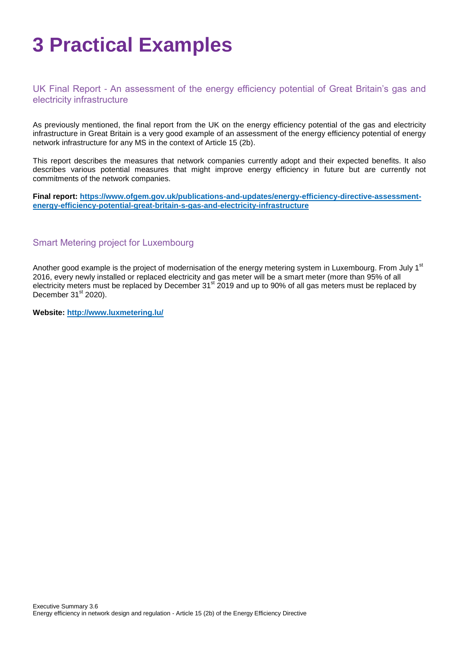# **3 Practical Examples**

### UK Final Report - An assessment of the energy efficiency potential of Great Britain's gas and electricity infrastructure

As previously mentioned, the final report from the UK on the energy efficiency potential of the gas and electricity infrastructure in Great Britain is a very good example of an assessment of the energy efficiency potential of energy network infrastructure for any MS in the context of Article 15 (2b).

This report describes the measures that network companies currently adopt and their expected benefits. It also describes various potential measures that might improve energy efficiency in future but are currently not commitments of the network companies.

**Final report: [https://www.ofgem.gov.uk/publications-and-updates/energy-efficiency-directive-assessment](https://www.ofgem.gov.uk/publications-and-updates/energy-efficiency-directive-assessment-energy-efficiency-potential-great-britain-s-gas-and-electricity-infrastructure)[energy-efficiency-potential-great-britain-s-gas-and-electricity-infrastructure](https://www.ofgem.gov.uk/publications-and-updates/energy-efficiency-directive-assessment-energy-efficiency-potential-great-britain-s-gas-and-electricity-infrastructure)**

### Smart Metering project for Luxembourg

Another good example is the project of modernisation of the energy metering system in Luxembourg. From July 1<sup>st</sup> 2016, every newly installed or replaced electricity and gas meter will be a smart meter (more than 95% of all electricity meters must be replaced by December 31<sup>st</sup> 2019 and up to 90% of all gas meters must be replaced by December  $31<sup>st</sup>$  2020).

**Website:<http://www.luxmetering.lu/>**